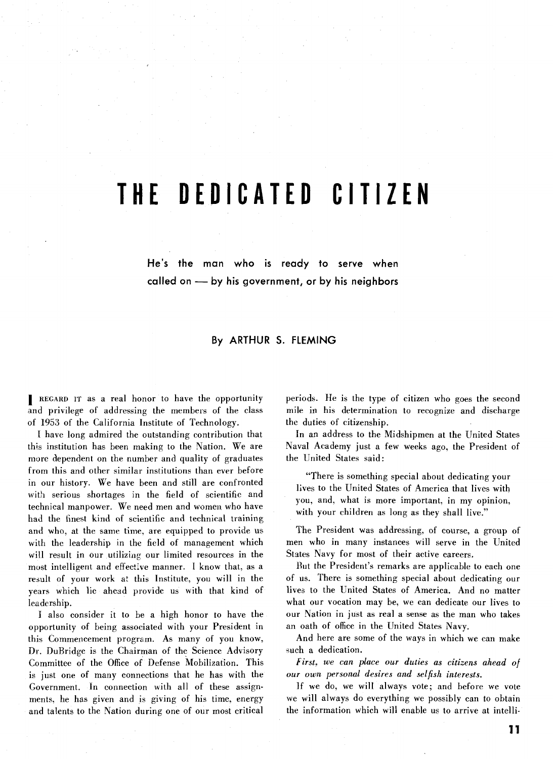# **THE DEDICATED CITIZEN**

**He's the man who is ready to serve when called on** - **by his government, or by his neighbors** 

## **By ARTHUR S. FLEMING**

**I** REGARD IT as a real honor to have the opportunity and privilege of addressing the members of the class of 1953 of the California Institute of Technology.

I have long admired the outstanding contribution that this institution has been making to the Nation. We are more dependent on the number and quality of graduates from this and other similar institutions than ever before in our history. We have been and still are confronted with serious shortages in the field of scientific and technical manpower. We need men and women who have had the finest kind of scientific and technical training and who, at the same time, are equipped to provide us with the leadership in the field of management which will result in our utilizing our limited resources in the most intelligent and effective manner. I know that, as a result of your work at this Institute, you will in the years which lie ahead provide us with that kind of leadership.

I also consider it to be a high honor to have the opportunity of being associated with your President in this Commencement program. As many of you know, Dr. DuBridge is the Chairman of the Science Advisory Committee of the Office of Defense Mobilization. This is just one of many connections that he has with the Government. In connection with all of these assignments, he has given and is giving of his time, energy and talents to the Nation during one of our most critical

periods. He is the type of citizen who goes the second mile in his determination to recognize and discharge the duties of citizenship.

In an address to the Midshipmen at the United States Naval Academy just a few weeks ago, the President of the United States said:

"There is something special about dedicating your lives to the United States of America that lives with you, and, what is more important, in my opinion, with your children as long as they shall live."

The President was addressing, of course, a group of men who in many instances will serve in the United States Navy for most of their active careers.

But the President's remarks are applicable to each one of us. There is something special about dedicating our lives to the United States of America. And no matter what our vocation may be, we can dedicate our lives to our Nation in just as real a sense as the man who takes an oath of office in the United States Navy.

And here are some of the ways in which we can make such a dedication.

*First, we can place our duties as citizens ahead of our own personal desires and selfish interests.* 

If we do, we will always vote; and before we vote we will always do everything we possibly can to obtain the information which will enable us to arrive at intelli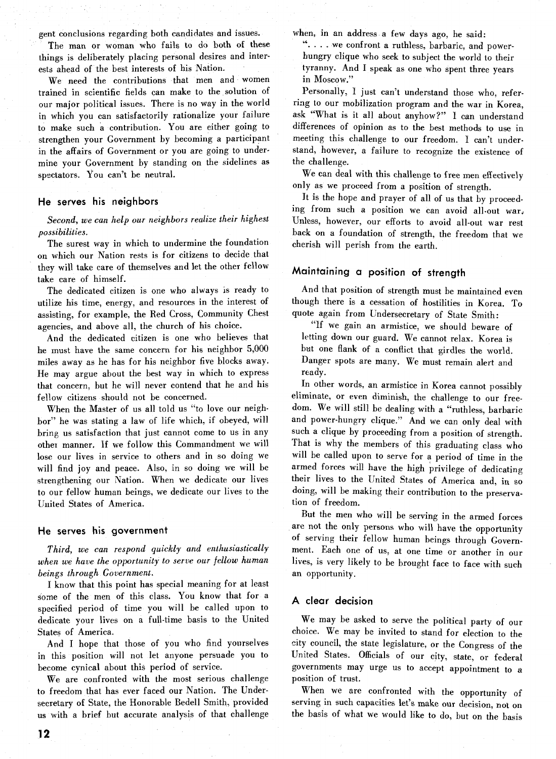gent conclusions regarding both candidates and issues.

The man or woman who fails to do both of these things is deliberately placing personal desires and interests ahead of the best interests of his Nation.

We need the contributions that men and women trained in scientific fields can make to the solution of our major political issues. There is no way in the world in which you can satisfactorily rationalize your failure to make such a contribution. You are either going to strengthen your Government by becoming a participant in the affairs of Government or you are going to undermine your Government by standing on the sidelines as spectators. You can't be neutral.

#### **He serves his neighbors**

*Second, we can help our neighbors realize their highest possibilities.* 

The surest way in which to undermine the foundation on which our Nation rests is for citizens to decide that they will take care of themselves and let the other fellow take care of himself.

The dedicated citizen is one who always is ready to utilize his time, energy, and resources in the interest of assisting, for example, the Red Cross, Community Chest agencies, and above all, the church of his choice.

And the dedicated citizen is one who believes that he must have the same concern for his neighbor 5,000 miles away as he has for his neighbor five blocks away. He may argue about the best way in which to express that concern, but he will never contend that he and his fellow citizens should not be concerned.

When the Master of us all told us "to love our neighbor" he was stating a law of life which, if obeyed, will bring us satisfaction that just cannot come to us in any other manner. If we follow this Commandment we will lose our lives in service to others and in so doing we will find joy and peace. Also, in so doing we will be strengthening our Nation. When we dedicate our lives to our fellow human beings, we dedicate our lives to the United States of America.

#### **He serves his government**

*Third, we can respond quickly and enthusiastically when we have the opportunity to serve our fellow human beings through Government.* 

*I* know that this point has special meaning for at least some of the men of this class. You know that for a specified period of time you will be called upon to dedicate your lives on a full-time basis to the United States of America.

And I hope that those of you who find yourselves in this position will not let anyone persuade you to become cynical about this period of service.

We are confronted with the most serious challenge to freedom that has ever faced our Nation. The Undersecretary of State, the Honorable Bedell Smith, provided us with a brief but accurate analysis of that challenge when, in an address a few days ago, he said:

". . . . we confront a ruthless, barbaric, and powerhungry clique who seek to subject the world to their tyranny. And I speak as one who spent three years in Moscow."

Personally, I just can't understand those who, referring to our mobilization program and the war in Korea, ask "What is it all about anyhow?" I can understand differences of opinion as to the best methods to use in meeting this challenge to our freedom. I can't understand, however, a failure to recognize the existence of the challenge.

We can deal with this challenge to free men effectively only as we proceed from a position of strength.

It is the hope and prayer of all of us that by proceeding from such a position we can avoid all-out war; Unless, however, our efforts to avoid all-out war rest back on a foundation of strength, the freedom that we cherish will perish from the earth.

# **Maintaining a position of strength**

And that position of strength must be maintained even though there is a cessation of hostilities in Korea. To quote again from Undersecretary of State Smith:

"If we gain an armistice, we should beware of letting down our guard. We cannot relax. Korea is but one flank of a conflict that girdles the world. Danger spots are many. We must remain alert and ready.

In other words, an armistice in Korea cannot possibly eliminate, or even diminish, the challenge to our freedom. We will still be dealing with a "ruthless, barbaric and power-hungry clique." And we can only deal with such a clique by proceeding from a position of strength. That is why the members of this graduating class who will be called upon to serve for a period of time in the armed forces will have the high privilege of dedicating their lives to the United States **of** America and, in so doing, will be making their contribution to the preservation of freedom.

But the men who will be serving in the armed forces are not the only persons who will have the opportunity of serving their fellow human beings through Government. Each one of us, at one time or another in our lives, is very likely to be brought face to face with such an opportunity.

### **A clear decision**

We may be asked to serve the political party of our choice. We may be invited to stand for election to the city council, the state legislature, or the Congress of the United States. Officials of our city, state, or federal governments may urge us to accept appointment to *a*  position of trust.

When we are confronted with the opportunity of serving in such capacities let's make our decision, not on the basis of what we would like to do, but on the basis